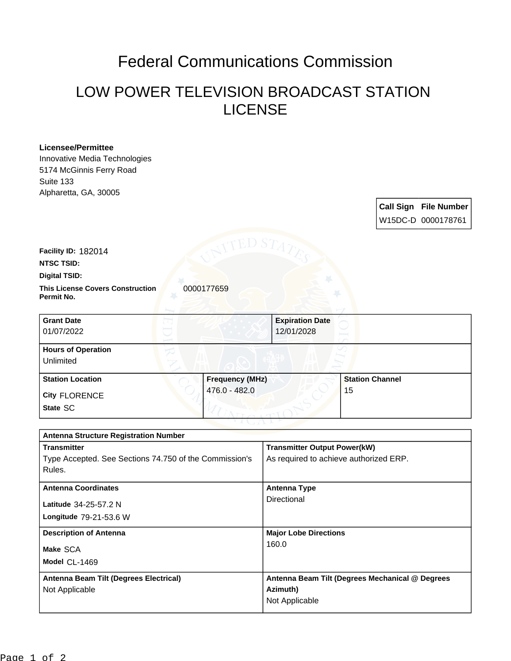# Federal Communications Commission

## LOW POWER TELEVISION BROADCAST STATION LICENSE

### **Licensee/Permittee**

Innovative Media Technologies 5174 McGinnis Ferry Road Suite 133 Alpharetta, GA, 30005

> **Call Sign File Number** W15DC-D 0000178761

**Facility ID:** 182014

**NTSC TSID:**

#### **Digital TSID:**

**This License Covers Construction**  0000177659 **Permit No.**

| <b>Grant Date</b><br>01/07/2022        |                        | <b>Expiration Date</b><br>12/01/2028 |                        |
|----------------------------------------|------------------------|--------------------------------------|------------------------|
| <b>Hours of Operation</b><br>Unlimited |                        |                                      |                        |
| <b>Station Location</b>                | <b>Frequency (MHz)</b> |                                      | <b>Station Channel</b> |
| <b>City FLORENCE</b><br>State SC       | 476.0 - 482.0          | 15                                   |                        |

| <b>Antenna Structure Registration Number</b>           |                                                 |  |  |
|--------------------------------------------------------|-------------------------------------------------|--|--|
| <b>Transmitter</b>                                     | <b>Transmitter Output Power(kW)</b>             |  |  |
| Type Accepted. See Sections 74.750 of the Commission's | As required to achieve authorized ERP.          |  |  |
| Rules.                                                 |                                                 |  |  |
| <b>Antenna Coordinates</b>                             | <b>Antenna Type</b>                             |  |  |
| Latitude 34-25-57.2 N                                  | Directional                                     |  |  |
| Longitude 79-21-53.6 W                                 |                                                 |  |  |
| <b>Description of Antenna</b>                          | <b>Major Lobe Directions</b>                    |  |  |
| Make SCA                                               | 160.0                                           |  |  |
| Model CL-1469                                          |                                                 |  |  |
| Antenna Beam Tilt (Degrees Electrical)                 | Antenna Beam Tilt (Degrees Mechanical @ Degrees |  |  |
| Not Applicable                                         | Azimuth)                                        |  |  |
|                                                        | Not Applicable                                  |  |  |